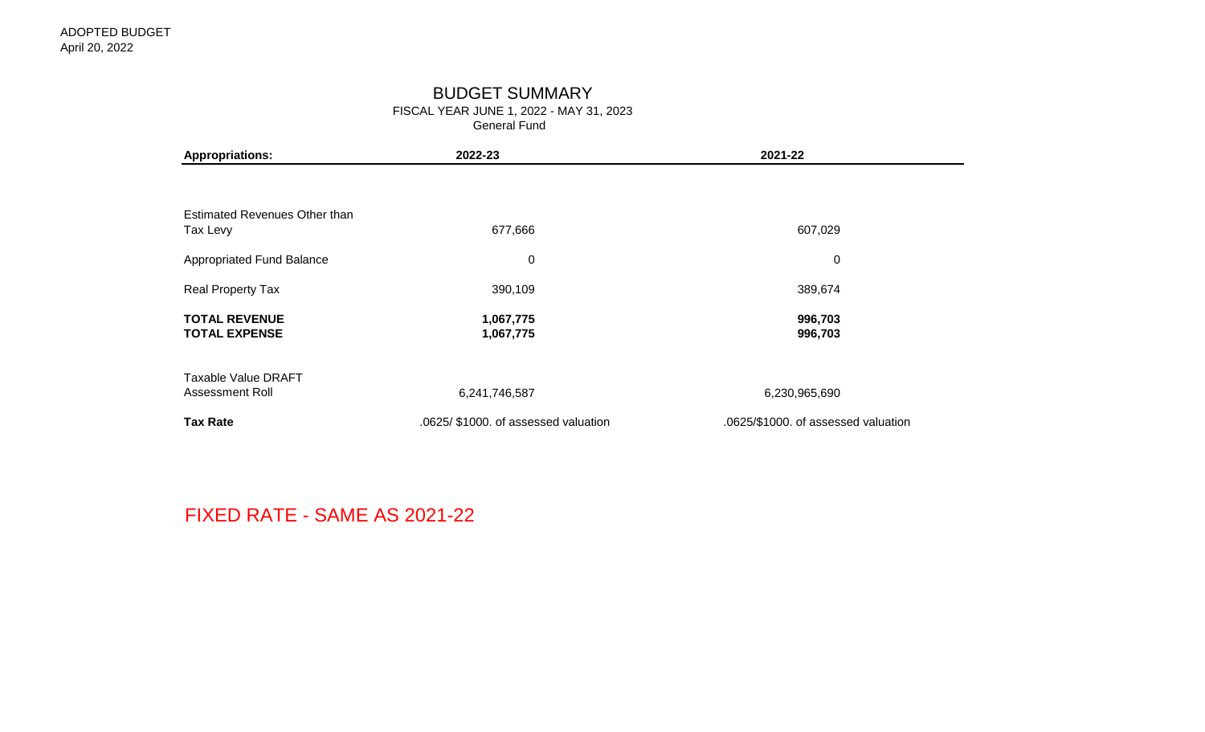## BUDGET SUMMARY

FISCAL YEAR JUNE 1, 2022 - MAY 31, 2023

General Fund

| <b>Appropriations:</b>                        | 2022-23                              | 2021-22                             |
|-----------------------------------------------|--------------------------------------|-------------------------------------|
|                                               |                                      |                                     |
| Estimated Revenues Other than<br>Tax Levy     | 677,666                              | 607,029                             |
| Appropriated Fund Balance                     | $\boldsymbol{0}$                     | $\pmb{0}$                           |
| Real Property Tax                             | 390,109                              | 389,674                             |
| <b>TOTAL REVENUE</b><br><b>TOTAL EXPENSE</b>  | 1,067,775<br>1,067,775               | 996,703<br>996,703                  |
| <b>Taxable Value DRAFT</b><br>Assessment Roll | 6,241,746,587                        | 6,230,965,690                       |
| <b>Tax Rate</b>                               | .0625/ \$1000. of assessed valuation | .0625/\$1000. of assessed valuation |

FIXED RATE - SAME AS 2021-22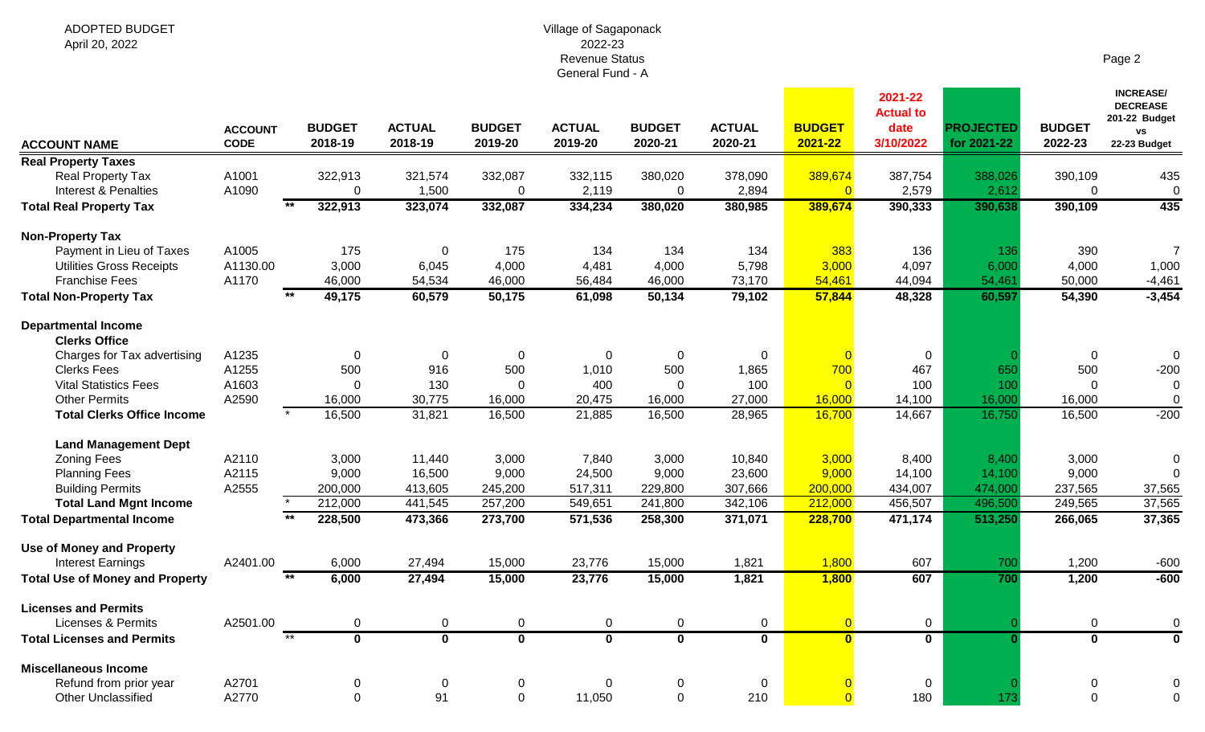#### Village of Sagaponack 2022-23 Revenue Status General Fund - A

| . . |  |
|-----|--|
|-----|--|

| <b>ACCOUNT NAME</b>                                | <b>ACCOUNT</b><br><b>CODE</b> | <b>BUDGET</b><br>2018-19            | <b>ACTUAL</b><br>2018-19 | <b>BUDGET</b><br>2019-20 | <b>ACTUAL</b><br>2019-20 | <b>BUDGET</b><br>2020-21 | <b>ACTUAL</b><br>2020-21 | <b>BUDGET</b><br>2021-22  | 2021-22<br><b>Actual to</b><br>date<br>3/10/2022 | <b>PROJECTED</b><br>for 2021-22 | <b>BUDGET</b><br>2022-23 | <b>INCREASE/</b><br><b>DECREASE</b><br>201-22 Budget<br><b>VS</b><br>22-23 Budget |
|----------------------------------------------------|-------------------------------|-------------------------------------|--------------------------|--------------------------|--------------------------|--------------------------|--------------------------|---------------------------|--------------------------------------------------|---------------------------------|--------------------------|-----------------------------------------------------------------------------------|
| <b>Real Property Taxes</b>                         |                               |                                     |                          |                          |                          |                          |                          |                           |                                                  |                                 |                          |                                                                                   |
| Real Property Tax<br>Interest & Penalties          | A1001<br>A1090                | 322,913<br>$\mathbf{0}$             | 321,574<br>1,500         | 332,087<br>$\mathbf 0$   | 332,115<br>2,119         | 380,020<br>$\mathbf 0$   | 378,090<br>2,894         | 389,674<br>$\overline{0}$ | 387,754<br>2,579                                 | 388,026<br>2,612                | 390,109<br>$\mathbf 0$   | 435<br>$\mathbf 0$                                                                |
| <b>Total Real Property Tax</b>                     |                               | $+ +$<br>322,913                    | 323,074                  | 332,087                  | 334,234                  | 380,020                  | 380,985                  | 389,674                   | 390,333                                          | 390,638                         | 390,109                  | 435                                                                               |
| <b>Non-Property Tax</b>                            |                               |                                     |                          |                          |                          |                          |                          |                           |                                                  |                                 |                          |                                                                                   |
| Payment in Lieu of Taxes                           | A1005                         | 175                                 | $\mathbf 0$              | 175                      | 134                      | 134                      | 134                      | 383                       | 136                                              | 136                             | 390                      | $\overline{7}$                                                                    |
| <b>Utilities Gross Receipts</b>                    | A1130.00                      | 3,000                               | 6,045                    | 4,000                    | 4,481                    | 4,000                    | 5,798                    | 3,000                     | 4,097                                            | 6,000                           | 4,000                    | 1,000                                                                             |
| <b>Franchise Fees</b>                              | A1170                         | 46,000                              | 54,534                   | 46,000                   | 56,484                   | 46,000                   | 73,170                   | 54,461                    | 44,094                                           | 54,461                          | 50,000                   | $-4,461$                                                                          |
| <b>Total Non-Property Tax</b>                      |                               | 49,175                              | 60,579                   | 50,175                   | 61,098                   | 50,134                   | 79,102                   | 57,844                    | 48,328                                           | 60,597                          | 54,390                   | $-3,454$                                                                          |
|                                                    |                               |                                     |                          |                          |                          |                          |                          |                           |                                                  |                                 |                          |                                                                                   |
| <b>Departmental Income</b><br><b>Clerks Office</b> |                               |                                     |                          |                          |                          |                          |                          |                           |                                                  |                                 |                          |                                                                                   |
|                                                    |                               |                                     |                          |                          |                          |                          |                          |                           |                                                  |                                 |                          |                                                                                   |
| Charges for Tax advertising<br><b>Clerks Fees</b>  | A1235<br>A1255                | 0                                   | $\mathbf 0$<br>916       | 0<br>500                 | 0                        | 0<br>500                 | 0                        | 700                       | $\mathbf 0$                                      |                                 | $\mathbf 0$<br>500       | 0                                                                                 |
| <b>Vital Statistics Fees</b>                       |                               | 500<br>$\Omega$                     |                          | $\Omega$                 | 1,010                    | $\Omega$                 | 1,865                    |                           | 467                                              | 650                             | $\Omega$                 | $-200$                                                                            |
| <b>Other Permits</b>                               | A1603                         |                                     | 130                      |                          | 400                      |                          | 100                      | $\overline{0}$            | 100                                              | 100                             |                          | 0                                                                                 |
|                                                    | A2590                         | 16,000<br>16,500                    | 30,775<br>31,821         | 16,000<br>16,500         | 20,475<br>21,885         | 16,000<br>16,500         | 27,000<br>28,965         | 16,000                    | 14,100<br>14,667                                 | 16,000<br>16,750                | 16,000<br>16,500         | $\pmb{0}$<br>$-200$                                                               |
| <b>Total Clerks Office Income</b>                  |                               |                                     |                          |                          |                          |                          |                          | 16,700                    |                                                  |                                 |                          |                                                                                   |
| <b>Land Management Dept</b>                        |                               |                                     |                          |                          |                          |                          |                          |                           |                                                  |                                 |                          |                                                                                   |
| <b>Zoning Fees</b>                                 | A2110                         | 3,000                               | 11,440                   | 3,000                    | 7,840                    | 3,000                    | 10,840                   | 3,000                     | 8,400                                            | 8,400                           | 3,000                    | 0                                                                                 |
| <b>Planning Fees</b>                               | A2115                         | 9,000                               | 16,500                   | 9,000                    | 24,500                   | 9,000                    | 23,600                   | 9,000                     | 14,100                                           | 14,100                          | 9,000                    | $\Omega$                                                                          |
| <b>Building Permits</b>                            | A2555                         | 200,000                             | 413,605                  | 245,200                  | 517,311                  | 229,800                  | 307,666                  | 200,000                   | 434,007                                          | 474,000                         | 237,565                  | 37,565                                                                            |
| <b>Total Land Mgnt Income</b>                      |                               | $\overline{\phantom{0}}$<br>212,000 | 441,545                  | 257,200                  | 549,651                  | 241,800                  | 342,106                  | 212,000                   | 456,507                                          | 496,500                         | 249,565                  | 37,565                                                                            |
| <b>Total Departmental Income</b>                   |                               | 228,500                             | 473,366                  | 273,700                  | 571,536                  | 258,300                  | 371,071                  | 228,700                   | 471,174                                          | 513,250                         | 266,065                  | 37,365                                                                            |
| <b>Use of Money and Property</b>                   |                               |                                     |                          |                          |                          |                          |                          |                           |                                                  |                                 |                          |                                                                                   |
| <b>Interest Earnings</b>                           | A2401.00                      | 6,000                               | 27,494                   | 15,000                   | 23,776                   | 15,000                   | 1,821                    | 1,800                     | 607                                              | 700                             | 1,200                    | $-600$                                                                            |
| <b>Total Use of Money and Property</b>             |                               | $\overline{**}$<br>6,000            | 27,494                   | 15,000                   | 23,776                   | 15,000                   | 1,821                    | 1,800                     | 607                                              | 700                             | 1,200                    | $-600$                                                                            |
|                                                    |                               |                                     |                          |                          |                          |                          |                          |                           |                                                  |                                 |                          |                                                                                   |
| <b>Licenses and Permits</b>                        |                               |                                     |                          |                          |                          |                          |                          |                           |                                                  |                                 |                          |                                                                                   |
| Licenses & Permits                                 | A2501.00                      | 0                                   | 0                        | $\mathbf 0$              | 0                        | $\pmb{0}$                | 0                        | $\overline{0}$            | $\mathbf 0$                                      |                                 | $\mathbf 0$              | $\mathbf 0$                                                                       |
| <b>Total Licenses and Permits</b>                  |                               | $**$<br>$\overline{\mathbf{0}}$     | $\overline{\mathbf{0}}$  | $\overline{\mathbf{0}}$  | $\overline{\mathbf{0}}$  | $\overline{\mathbf{0}}$  | $\overline{\mathbf{0}}$  | $\overline{\mathbf{0}}$   | $\overline{\mathbf{0}}$                          | $\overline{0}$                  | $\overline{\mathbf{0}}$  | $\overline{\mathbf{0}}$                                                           |
| <b>Miscellaneous Income</b>                        |                               |                                     |                          |                          |                          |                          |                          |                           |                                                  |                                 |                          |                                                                                   |
| Refund from prior year                             | A2701                         | 0                                   | 0                        | 0                        | $\Omega$                 | 0                        | 0                        |                           | 0                                                |                                 | 0                        | 0                                                                                 |
| <b>Other Unclassified</b>                          | A2770                         | $\Omega$                            | 91                       | $\mathbf 0$              | 11,050                   | $\mathbf 0$              | 210                      |                           | 180                                              | 173                             | $\mathbf 0$              | $\mathbf 0$                                                                       |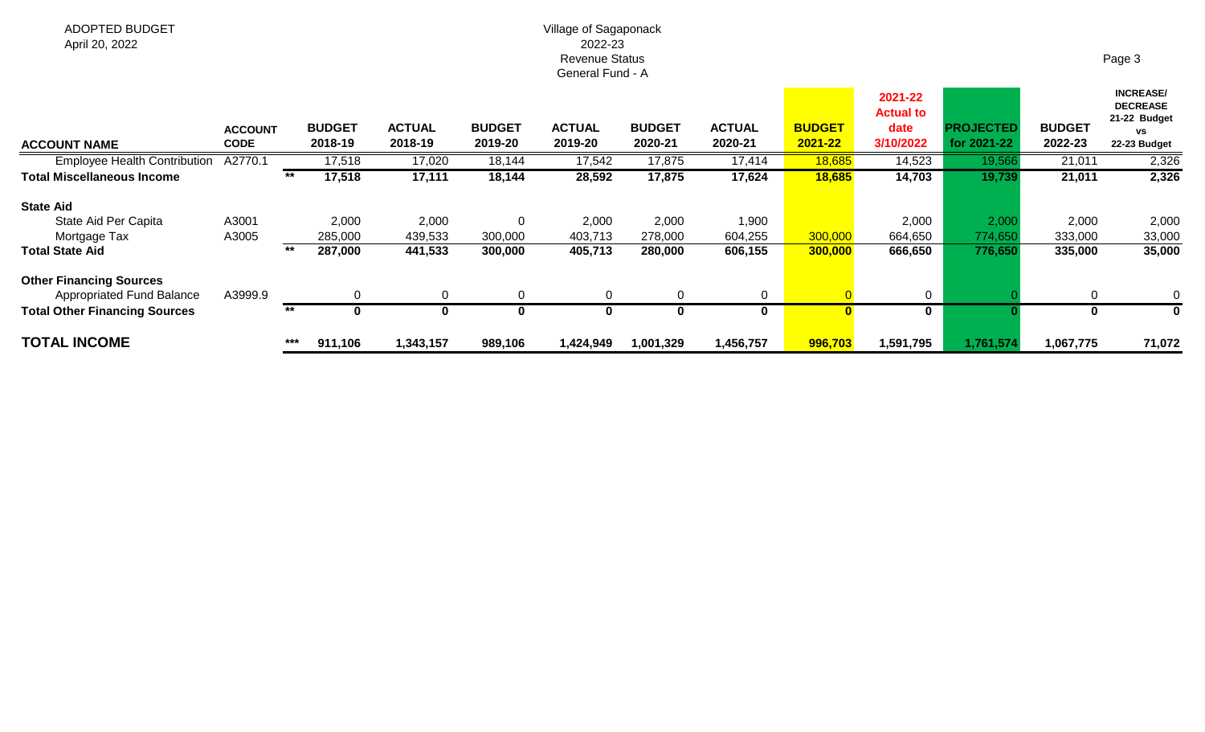### Village of Sagaponack 2022-23 Revenue Status General Fund - A

| <b>ACCOUNT NAME</b>                                                | <b>ACCOUNT</b><br><b>CODE</b> |       | <b>BUDGET</b><br>2018-19 | <b>ACTUAL</b><br>2018-19 | <b>BUDGET</b><br>2019-20 | <b>ACTUAL</b><br>2019-20 | <b>BUDGET</b><br>2020-21 | <b>ACTUAL</b><br>2020-21 | <b>BUDGET</b><br>2021-22 | 2021-22<br><b>Actual to</b><br>date<br>3/10/2022 | <b>PROJECTED</b><br>for 2021-22 | <b>BUDGET</b><br>2022-23 | <b>INCREASE/</b><br><b>DECREASE</b><br>21-22 Budget<br><b>VS</b><br>22-23 Budget |
|--------------------------------------------------------------------|-------------------------------|-------|--------------------------|--------------------------|--------------------------|--------------------------|--------------------------|--------------------------|--------------------------|--------------------------------------------------|---------------------------------|--------------------------|----------------------------------------------------------------------------------|
| <b>Employee Health Contribution</b>                                | A2770.1                       |       | 17,518                   | 17,020                   | 18,144                   | 17,542                   | 17,875                   | 17,414                   | 18,685                   | 14,523                                           | 19,566                          | 21,011                   | 2,326                                                                            |
| <b>Total Miscellaneous Income</b>                                  |                               | **    | 17,518                   | 17,111                   | 18,144                   | 28,592                   | 17,875                   | 17,624                   | 18,685                   | 14,703                                           | 19,739                          | 21,011                   | 2,326                                                                            |
| <b>State Aid</b>                                                   |                               |       |                          |                          |                          |                          |                          |                          |                          |                                                  |                                 |                          |                                                                                  |
| State Aid Per Capita                                               | A3001                         |       | 2,000                    | 2,000                    | 0                        | 2,000                    | 2,000                    | 1,900                    |                          | 2,000                                            | 2,000                           | 2,000                    | 2,000                                                                            |
| Mortgage Tax                                                       | A3005                         |       | 285,000                  | 439,533                  | 300,000                  | 403,713                  | 278,000                  | 604,255                  | 300,000                  | 664,650                                          | 774,650                         | 333,000                  | 33,000                                                                           |
| <b>Total State Aid</b>                                             |                               | $***$ | 287,000                  | 441,533                  | 300,000                  | 405,713                  | 280,000                  | 606,155                  | 300,000                  | 666,650                                          | 776,650                         | 335,000                  | 35,000                                                                           |
| <b>Other Financing Sources</b><br><b>Appropriated Fund Balance</b> | A3999.9                       |       |                          | ∩                        | $\Omega$                 | 0                        |                          | $\mathbf 0$              |                          | $\Omega$                                         |                                 | $\Omega$                 | 0                                                                                |
| <b>Total Other Financing Sources</b>                               |                               | $***$ | $\bf{0}$                 | 0                        |                          | 0                        |                          | 0                        | 0                        | $\mathbf 0$                                      |                                 | $\mathbf{0}$             |                                                                                  |
| <b>TOTAL INCOME</b>                                                |                               | ***   | 911,106                  | 1,343,157                | 989,106                  | 1,424,949                | 1,001,329                | 1,456,757                | 996,703                  | 1,591,795                                        | 1,761,574                       | 1,067,775                | 71,072                                                                           |

Page 3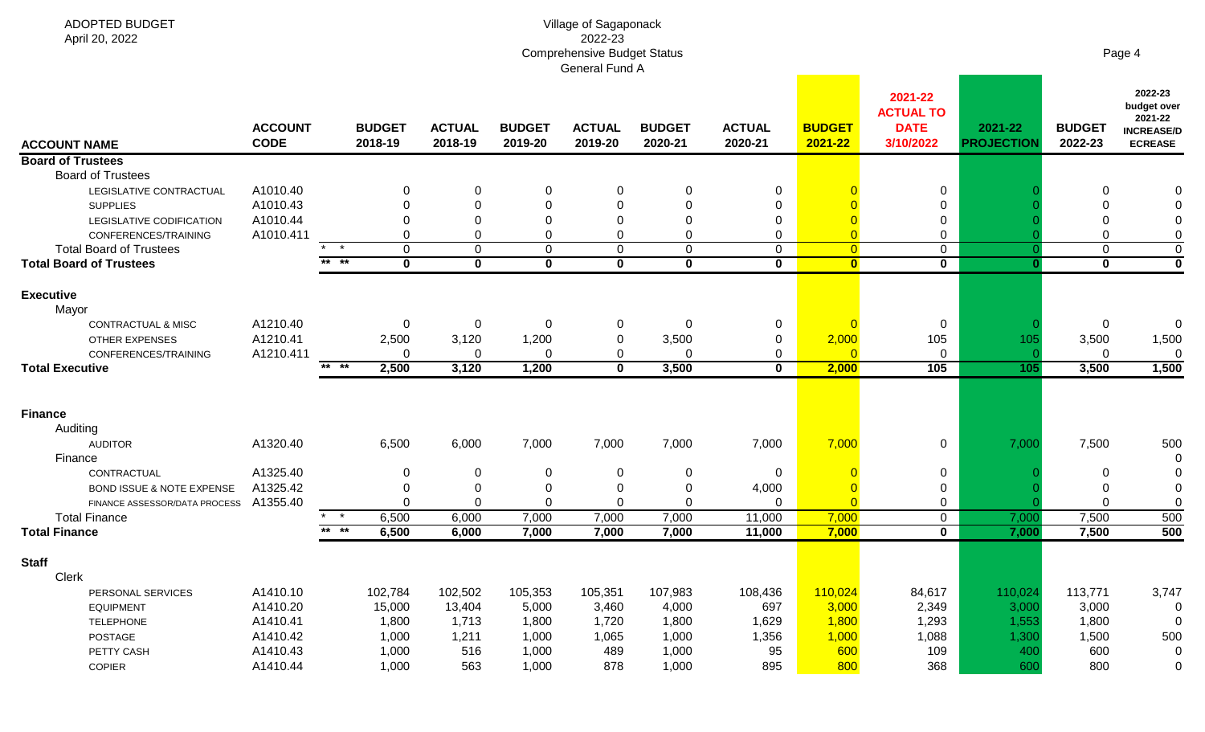| ADOPTED BUDGET<br>April 20, 2022     | Village of Sagaponack<br>2022-23<br><b>Comprehensive Budget Status</b><br>General Fund A |                 |                          |                          |                          |                          |                          |                          |                          |                                                         |                              |                          | Page 4                                                                   |  |  |
|--------------------------------------|------------------------------------------------------------------------------------------|-----------------|--------------------------|--------------------------|--------------------------|--------------------------|--------------------------|--------------------------|--------------------------|---------------------------------------------------------|------------------------------|--------------------------|--------------------------------------------------------------------------|--|--|
| <b>ACCOUNT NAME</b>                  | <b>ACCOUNT</b><br><b>CODE</b>                                                            |                 | <b>BUDGET</b><br>2018-19 | <b>ACTUAL</b><br>2018-19 | <b>BUDGET</b><br>2019-20 | <b>ACTUAL</b><br>2019-20 | <b>BUDGET</b><br>2020-21 | <b>ACTUAL</b><br>2020-21 | <b>BUDGET</b><br>2021-22 | 2021-22<br><b>ACTUAL TO</b><br><b>DATE</b><br>3/10/2022 | 2021-22<br><b>PROJECTION</b> | <b>BUDGET</b><br>2022-23 | 2022-23<br>budget over<br>2021-22<br><b>INCREASE/D</b><br><b>ECREASE</b> |  |  |
| <b>Board of Trustees</b>             |                                                                                          |                 |                          |                          |                          |                          |                          |                          |                          |                                                         |                              |                          |                                                                          |  |  |
| <b>Board of Trustees</b>             |                                                                                          |                 |                          |                          |                          |                          |                          |                          |                          |                                                         |                              |                          |                                                                          |  |  |
| LEGISLATIVE CONTRACTUAL              | A1010.40                                                                                 |                 |                          | 0                        | 0                        | 0                        | 0                        | $\mathbf 0$              |                          | $\mathbf 0$                                             |                              | 0                        |                                                                          |  |  |
| <b>SUPPLIES</b>                      | A1010.43                                                                                 |                 | 0                        | 0                        | 0                        | $\Omega$                 | 0                        | 0                        |                          | 0                                                       |                              | $\Omega$                 |                                                                          |  |  |
| LEGISLATIVE CODIFICATION             | A1010.44                                                                                 |                 |                          |                          | 0                        | $\Omega$                 | 0                        | 0                        |                          | 0                                                       |                              | 0                        | 0                                                                        |  |  |
| CONFERENCES/TRAINING                 | A1010.411                                                                                |                 |                          | O                        | $\Omega$                 | $\Omega$                 | $\Omega$                 | $\Omega$                 |                          | 0                                                       |                              | $\Omega$                 | 0                                                                        |  |  |
| <b>Total Board of Trustees</b>       |                                                                                          | $\star$ $\star$ | $\Omega$                 | $\Omega$                 | 0                        | 0                        | $\Omega$                 | $\Omega$                 | $\overline{0}$           | $\mathbf 0$                                             |                              | $\mathbf 0$              | $\mathbf 0$                                                              |  |  |
| <b>Total Board of Trustees</b>       |                                                                                          | ** **           | $\mathbf 0$              | $\bf{0}$                 | $\mathbf 0$              | $\mathbf 0$              | $\mathbf 0$              | $\mathbf{0}$             | $\bullet$                | $\mathbf 0$                                             |                              | $\mathbf 0$              | $\mathbf 0$                                                              |  |  |
| <b>Executive</b><br>Mayor            |                                                                                          |                 |                          |                          |                          |                          |                          |                          |                          |                                                         |                              |                          |                                                                          |  |  |
| CONTRACTUAL & MISC                   | A1210.40                                                                                 |                 | 0                        | 0                        | 0                        | 0                        | 0                        | $\mathbf 0$              |                          | 0                                                       |                              | 0                        | 0                                                                        |  |  |
| <b>OTHER EXPENSES</b>                | A1210.41                                                                                 |                 | 2,500                    | 3,120                    | 1,200                    | $\pmb{0}$                | 3,500                    | 0                        | 2,000                    | 105                                                     | 105                          | 3,500                    | 1,500                                                                    |  |  |
| CONFERENCES/TRAINING                 | A1210.411                                                                                |                 | $\Omega$                 | 0                        | 0                        | $\mathbf 0$              | 0                        | $\mathbf 0$              |                          | $\mathbf 0$                                             |                              | $\Omega$                 | $\mathbf 0$                                                              |  |  |
| <b>Total Executive</b>               |                                                                                          | ** **           | 2,500                    | 3,120                    | 1,200                    | $\mathbf 0$              | 3,500                    | $\mathbf{0}$             | 2,000                    | 105                                                     | 105                          | 3,500                    | 1,500                                                                    |  |  |
| <b>Finance</b>                       |                                                                                          |                 |                          |                          |                          |                          |                          |                          |                          |                                                         |                              |                          |                                                                          |  |  |
| Auditing                             |                                                                                          |                 |                          |                          |                          |                          |                          |                          |                          |                                                         |                              |                          |                                                                          |  |  |
| <b>AUDITOR</b><br>Finance            | A1320.40                                                                                 |                 | 6,500                    | 6,000                    | 7,000                    | 7,000                    | 7,000                    | 7,000                    | 7,000                    | $\mathbf 0$                                             | 7,000                        | 7,500                    | 500<br>0                                                                 |  |  |
| CONTRACTUAL                          | A1325.40                                                                                 |                 |                          | 0                        | 0                        | 0                        | 0                        | $\overline{0}$           |                          | 0                                                       |                              | 0                        |                                                                          |  |  |
| <b>BOND ISSUE &amp; NOTE EXPENSE</b> | A1325.42                                                                                 |                 |                          | 0                        | $\Omega$                 | $\Omega$                 | $\Omega$                 | 4,000                    |                          | 0                                                       |                              | $\Omega$                 |                                                                          |  |  |
| FINANCE ASSESSOR/DATA PROCESS        | A1355.40                                                                                 |                 |                          | $\Omega$                 | $\Omega$                 | $\Omega$                 | $\Omega$                 | $\Omega$                 |                          | 0                                                       |                              |                          | 0                                                                        |  |  |
| <b>Total Finance</b>                 |                                                                                          | $\star$         | 6,500                    | 6,000                    | 7,000                    | 7,000                    | 7,000                    | 11,000                   | 7,000                    | $\mathbf 0$                                             | 7,000                        | 7,500                    | 500                                                                      |  |  |
| <b>Total Finance</b>                 |                                                                                          | $***$ **        | 6,500                    | 6,000                    | 7,000                    | 7,000                    | 7,000                    | 11,000                   | 7,000                    | $\mathbf 0$                                             | 7,000                        | 7,500                    | 500                                                                      |  |  |
| <b>Staff</b>                         |                                                                                          |                 |                          |                          |                          |                          |                          |                          |                          |                                                         |                              |                          |                                                                          |  |  |
| Clerk                                |                                                                                          |                 |                          |                          |                          |                          |                          |                          |                          |                                                         |                              |                          |                                                                          |  |  |
| PERSONAL SERVICES                    | A1410.10                                                                                 |                 | 102,784                  | 102,502                  | 105,353                  | 105,351                  | 107,983                  | 108,436                  | 110,024                  | 84,617                                                  | 110,024                      | 113,771                  | 3,747                                                                    |  |  |
| <b>EQUIPMENT</b>                     | A1410.20                                                                                 |                 | 15,000                   | 13,404                   | 5,000                    | 3,460                    | 4,000                    | 697                      | 3,000                    | 2,349                                                   | 3,000                        | 3,000                    | 0                                                                        |  |  |
| <b>TELEPHONE</b>                     | A1410.41                                                                                 |                 | 1,800                    | 1,713                    | 1,800                    | 1,720                    | 1,800                    | 1,629                    | 1,800                    | 1,293                                                   | 1,553                        | 1,800                    | 0                                                                        |  |  |
| POSTAGE                              | A1410.42                                                                                 |                 | 1,000                    | 1,211                    | 1,000                    | 1,065                    | 1,000                    | 1,356                    | 1,000                    | 1,088                                                   | 1,300                        | 1,500                    | 500                                                                      |  |  |
| PETTY CASH                           | A1410.43                                                                                 |                 | 1,000                    | 516                      | 1,000                    | 489                      | 1,000                    | 95                       | 600                      | 109                                                     | 400                          | 600                      | 0                                                                        |  |  |
| <b>COPIER</b>                        | A1410.44                                                                                 |                 | 1,000                    | 563                      | 1,000                    | 878                      | 1,000                    | 895                      | 800                      | 368                                                     | 600                          | 800                      | 0                                                                        |  |  |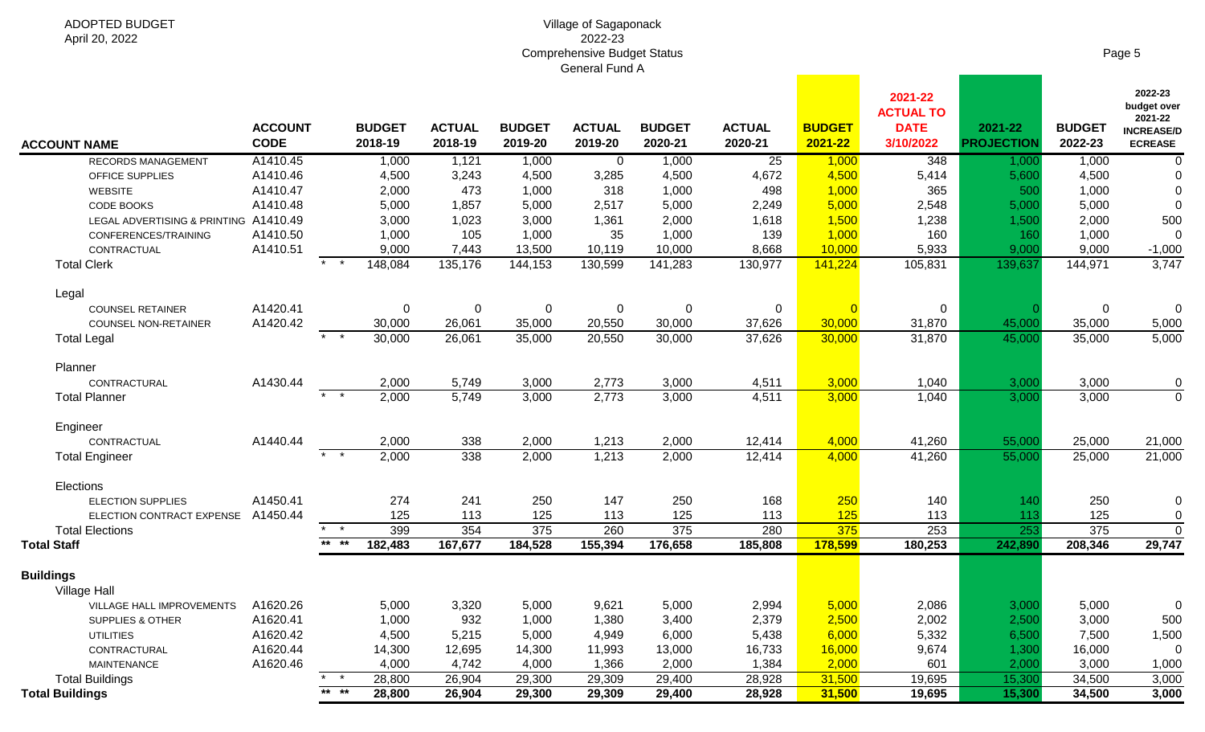#### Village of Sagaponack 2022-23 Comprehensive Budget Status General Fund A

| <b>ACCOUNT NAME</b>                   | <b>ACCOUNT</b><br><b>CODE</b> |                            | <b>BUDGET</b><br>2018-19 | <b>ACTUAL</b><br>2018-19 | <b>BUDGET</b><br>2019-20 | <b>ACTUAL</b><br>2019-20 | <b>BUDGET</b><br>2020-21 | <b>ACTUAL</b><br>2020-21 | <b>BUDGET</b><br>2021-22 | 2021-22<br><b>ACTUAL TO</b><br><b>DATE</b><br>3/10/2022 | 2021-22<br><b>PROJECTION</b> | <b>BUDGET</b><br>2022-23 | 2022-23<br>budget over<br>2021-22<br><b>INCREASE/D</b><br><b>ECREASE</b> |
|---------------------------------------|-------------------------------|----------------------------|--------------------------|--------------------------|--------------------------|--------------------------|--------------------------|--------------------------|--------------------------|---------------------------------------------------------|------------------------------|--------------------------|--------------------------------------------------------------------------|
| <b>RECORDS MANAGEMENT</b>             | A1410.45                      |                            | 1,000                    | 1,121                    | 1,000                    | $\overline{0}$           | 1,000                    | $\overline{25}$          | 1,000                    | 348                                                     | 1,000                        | 1,000                    | $\mathbf 0$                                                              |
| OFFICE SUPPLIES                       | A1410.46                      |                            | 4,500                    | 3,243                    | 4,500                    | 3,285                    | 4,500                    | 4,672                    | 4,500                    | 5,414                                                   | 5,600                        | 4,500                    | 0                                                                        |
| <b>WEBSITE</b>                        | A1410.47                      |                            | 2,000                    | 473                      | 1,000                    | 318                      | 1,000                    | 498                      | 1,000                    | 365                                                     | 500                          | 1,000                    | $\mathbf 0$                                                              |
| CODE BOOKS                            | A1410.48                      |                            | 5,000                    | 1,857                    | 5,000                    | 2,517                    | 5,000                    | 2,249                    | 5,000                    | 2,548                                                   | 5,000                        | 5,000                    | $\mathbf 0$                                                              |
| LEGAL ADVERTISING & PRINTING A1410.49 |                               |                            | 3,000                    | 1,023                    | 3,000                    | 1,361                    | 2,000                    | 1,618                    | 1,500                    | 1,238                                                   | 1,500                        | 2,000                    | 500                                                                      |
| CONFERENCES/TRAINING                  | A1410.50                      |                            | 1,000                    | 105                      | 1,000                    | 35                       | 1,000                    | 139                      | 1,000                    | 160                                                     | 160                          | 1,000                    | 0                                                                        |
| CONTRACTUAL                           | A1410.51                      |                            | 9,000                    | 7,443                    | 13,500                   | 10,119                   | 10,000                   | 8,668                    | 10,000                   | 5,933                                                   | 9,000                        | 9,000                    | $-1,000$                                                                 |
| <b>Total Clerk</b>                    |                               | $\overline{\phantom{1}}$ * | 148,084                  | 135,176                  | 144,153                  | 130,599                  | 141,283                  | 130,977                  | 141,224                  | 105,831                                                 | 139,637                      | 144,971                  | 3,747                                                                    |
| Legal                                 |                               |                            |                          |                          |                          |                          |                          |                          |                          |                                                         |                              |                          |                                                                          |
| <b>COUNSEL RETAINER</b>               | A1420.41                      |                            | $\mathbf 0$              | $\mathbf 0$              | $\mathbf 0$              | $\mathbf 0$              | $\mathbf 0$              | 0                        |                          | 0                                                       |                              | 0                        | $\mathbf 0$                                                              |
| COUNSEL NON-RETAINER                  | A1420.42                      |                            | 30,000                   | 26,061                   | 35,000                   | 20,550                   | 30,000                   | 37,626                   | 30,000                   | 31,870                                                  | 45,000                       | 35,000                   | 5,000                                                                    |
| <b>Total Legal</b>                    |                               | $\star$ $\star$            | 30,000                   | 26,061                   | 35,000                   | 20,550                   | 30,000                   | 37,626                   | 30,000                   | 31,870                                                  | 45,000                       | 35,000                   | 5,000                                                                    |
| Planner                               |                               |                            |                          |                          |                          |                          |                          |                          |                          |                                                         |                              |                          |                                                                          |
| CONTRACTURAL                          | A1430.44                      |                            | 2,000                    | 5,749                    | 3,000                    | 2,773                    | 3,000                    | 4,511                    | 3,000                    | 1,040                                                   | 3,000                        | 3,000                    | 0                                                                        |
| <b>Total Planner</b>                  |                               | $\star$ $\star$            | 2,000                    | 5,749                    | 3,000                    | 2,773                    | 3,000                    | 4,511                    | 3,000                    | 1,040                                                   | 3,000                        | 3,000                    | $\overline{0}$                                                           |
| Engineer                              |                               |                            |                          |                          |                          |                          |                          |                          |                          |                                                         |                              |                          |                                                                          |
| CONTRACTUAL                           | A1440.44                      |                            | 2,000                    | 338                      | 2,000                    | 1,213                    | 2,000                    | 12,414                   | 4,000                    | 41,260                                                  | 55,000                       | 25,000                   | 21,000                                                                   |
| <b>Total Engineer</b>                 |                               | $\star$ $\star$            | 2,000                    | 338                      | 2,000                    | 1,213                    | 2,000                    | 12,414                   | 4,000                    | 41,260                                                  | 55,000                       | 25,000                   | 21,000                                                                   |
| Elections                             |                               |                            |                          |                          |                          |                          |                          |                          |                          |                                                         |                              |                          |                                                                          |
| <b>ELECTION SUPPLIES</b>              | A1450.41                      |                            | 274                      | 241                      | 250                      | 147                      | 250                      | 168                      | 250                      | 140                                                     | 140                          | 250                      | 0                                                                        |
| ELECTION CONTRACT EXPENSE             | A1450.44                      |                            | 125                      | 113                      | 125                      | 113                      | 125                      | 113                      | 125                      | 113                                                     | 113                          | 125                      | $\mathbf 0$                                                              |
| <b>Total Elections</b>                |                               | $*$ *                      | 399                      | 354                      | 375                      | 260                      | 375                      | 280                      | 375                      | 253                                                     | 253                          | 375                      | $\overline{0}$                                                           |
| <b>Total Staff</b>                    |                               | $***$ **                   | 182,483                  | 167,677                  | 184,528                  | 155,394                  | 176,658                  | 185,808                  | 178,599                  | 180,253                                                 | 242,890                      | 208,346                  | 29,747                                                                   |
| <b>Buildings</b>                      |                               |                            |                          |                          |                          |                          |                          |                          |                          |                                                         |                              |                          |                                                                          |
| <b>Village Hall</b>                   |                               |                            |                          |                          |                          |                          |                          |                          |                          |                                                         |                              |                          |                                                                          |
| VILLAGE HALL IMPROVEMENTS             | A1620.26                      |                            | 5,000                    | 3,320                    | 5,000                    | 9,621                    | 5,000                    | 2,994                    | 5,000<br>2,500           | 2,086                                                   | 3,000                        | 5,000                    |                                                                          |
| SUPPLIES & OTHER                      | A1620.41<br>A1620.42          |                            | 1,000                    | 932                      | 1,000<br>5,000           | 1,380<br>4,949           | 3,400<br>6,000           | 2,379                    |                          | 2,002                                                   | 2,500                        | 3,000<br>7,500           | 500                                                                      |
| <b>UTILITIES</b>                      | A1620.44                      |                            | 4,500                    | 5,215<br>12,695          | 14,300                   | 11,993                   |                          | 5,438<br>16,733          | 6,000<br>16,000          | 5,332                                                   | 6,500<br>1,300               | 16,000                   | 1,500                                                                    |
| CONTRACTURAL<br><b>MAINTENANCE</b>    | A1620.46                      |                            | 14,300<br>4,000          | 4,742                    | 4,000                    | 1,366                    | 13,000                   | 1,384                    | 2,000                    | 9,674<br>601                                            | 2,000                        | 3,000                    | $\boldsymbol{0}$                                                         |
| <b>Total Buildings</b>                |                               | $\star$ $\star$            | 28,800                   |                          |                          |                          | 2,000                    |                          | 31,500                   |                                                         |                              |                          | 1,000<br>3,000                                                           |
| <b>Total Buildings</b>                |                               | $***$ **                   | 28,800                   | 26,904<br>26,904         | 29,300<br>29,300         | 29,309<br>29,309         | 29,400                   | 28,928<br>28,928         |                          | 19,695                                                  | 15,300                       | 34,500                   |                                                                          |
|                                       |                               |                            |                          |                          |                          |                          | 29,400                   |                          | 31,500                   | 19,695                                                  | 15,300                       | 34,500                   | 3,000                                                                    |

Page 5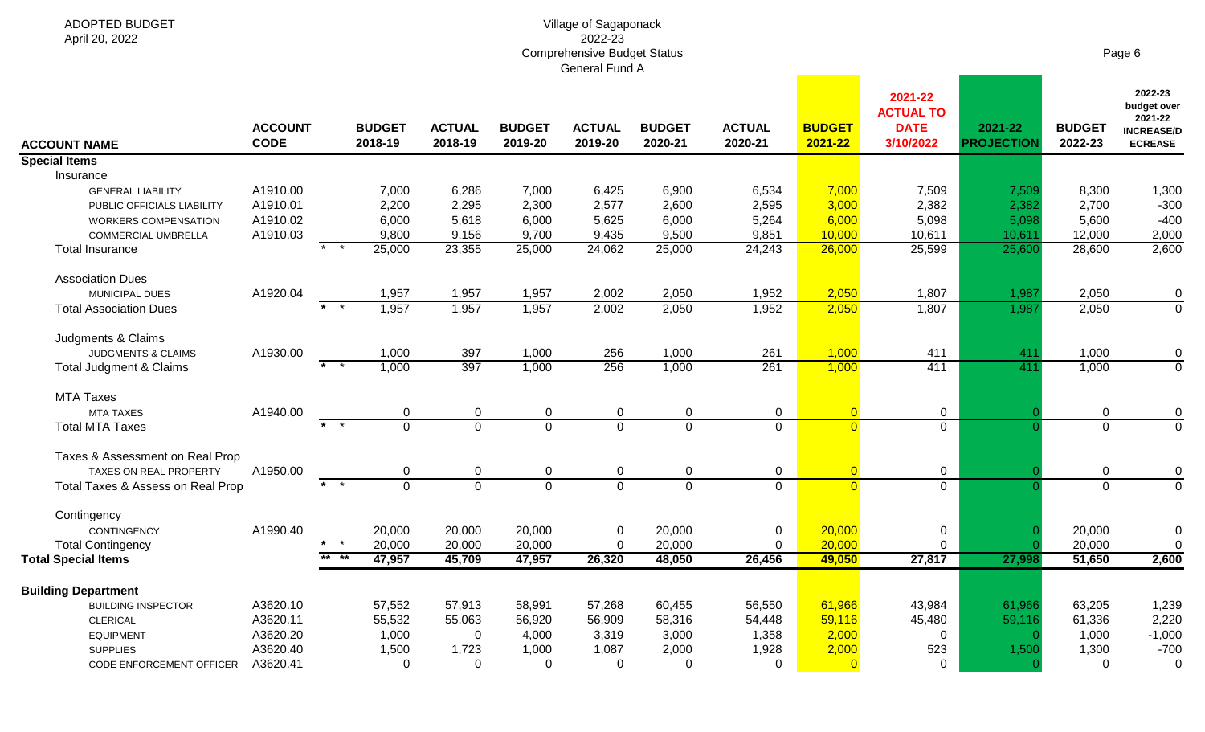| <b>ADOPTED BUDGET</b><br>April 20, 2022 |                               |                                                   |                          |                          |                          | Village of Sagaponack<br>2022-23<br><b>Comprehensive Budget Status</b> |                          |                          |                          |                                                         |                              |                          | Page 6                                                                   |
|-----------------------------------------|-------------------------------|---------------------------------------------------|--------------------------|--------------------------|--------------------------|------------------------------------------------------------------------|--------------------------|--------------------------|--------------------------|---------------------------------------------------------|------------------------------|--------------------------|--------------------------------------------------------------------------|
|                                         |                               |                                                   |                          |                          |                          | General Fund A                                                         |                          |                          |                          |                                                         |                              |                          |                                                                          |
| <b>ACCOUNT NAME</b>                     | <b>ACCOUNT</b><br><b>CODE</b> |                                                   | <b>BUDGET</b><br>2018-19 | <b>ACTUAL</b><br>2018-19 | <b>BUDGET</b><br>2019-20 | <b>ACTUAL</b><br>2019-20                                               | <b>BUDGET</b><br>2020-21 | <b>ACTUAL</b><br>2020-21 | <b>BUDGET</b><br>2021-22 | 2021-22<br><b>ACTUAL TO</b><br><b>DATE</b><br>3/10/2022 | 2021-22<br><b>PROJECTION</b> | <b>BUDGET</b><br>2022-23 | 2022-23<br>budget over<br>2021-22<br><b>INCREASE/D</b><br><b>ECREASE</b> |
| <b>Special Items</b>                    |                               |                                                   |                          |                          |                          |                                                                        |                          |                          |                          |                                                         |                              |                          |                                                                          |
| Insurance                               |                               |                                                   |                          |                          |                          |                                                                        |                          |                          |                          |                                                         |                              |                          |                                                                          |
| <b>GENERAL LIABILITY</b>                | A1910.00                      |                                                   | 7,000                    | 6,286                    | 7,000                    | 6,425                                                                  | 6,900                    | 6,534                    | 7,000                    | 7,509                                                   | 7,509                        | 8,300                    | 1,300                                                                    |
| PUBLIC OFFICIALS LIABILITY              | A1910.01                      |                                                   | 2,200                    | 2,295                    | 2,300                    | 2,577                                                                  | 2,600                    | 2,595                    | 3,000                    | 2,382                                                   | 2,382                        | 2,700                    | $-300$                                                                   |
| <b>WORKERS COMPENSATION</b>             | A1910.02                      |                                                   | 6,000                    | 5,618                    | 6,000                    | 5,625                                                                  | 6,000                    | 5,264                    | 6,000                    | 5,098                                                   | 5,098                        | 5,600                    | $-400$                                                                   |
| <b>COMMERCIAL UMBRELLA</b>              | A1910.03                      | $\overline{\phantom{1}}$ *                        | 9,800                    | 9,156                    | 9,700                    | 9,435                                                                  | 9,500                    | 9,851                    | 10,000                   | 10,611                                                  | 10,611                       | 12,000                   | 2,000                                                                    |
| <b>Total Insurance</b>                  |                               |                                                   | 25,000                   | 23,355                   | 25,000                   | 24,062                                                                 | 25,000                   | 24,243                   | 26,000                   | 25,599                                                  | 25,600                       | 28,600                   | 2,600                                                                    |
| <b>Association Dues</b>                 |                               |                                                   |                          |                          |                          |                                                                        |                          |                          |                          |                                                         |                              |                          |                                                                          |
| <b>MUNICIPAL DUES</b>                   | A1920.04                      |                                                   | 1,957                    | 1,957                    | 1,957                    | 2,002                                                                  | 2,050                    | 1,952                    | 2,050                    | 1,807                                                   | 1,987                        | 2,050                    | $\mathbf 0$                                                              |
| <b>Total Association Dues</b>           |                               | $\star$ $\star$                                   | 1,957                    | 1,957                    | 1,957                    | 2,002                                                                  | 2,050                    | 1,952                    | 2,050                    | 1,807                                                   | 1,987                        | 2,050                    | $\mathbf 0$                                                              |
|                                         |                               |                                                   |                          |                          |                          |                                                                        |                          |                          |                          |                                                         |                              |                          |                                                                          |
| Judgments & Claims                      |                               |                                                   |                          |                          |                          |                                                                        |                          |                          |                          |                                                         |                              |                          |                                                                          |
| <b>JUDGMENTS &amp; CLAIMS</b>           | A1930.00                      |                                                   | 1,000                    | 397                      | 1,000                    | 256                                                                    | 1,000                    | 261                      | 1,000                    | 411                                                     | 411                          | 1,000                    | 0                                                                        |
| <b>Total Judgment &amp; Claims</b>      |                               | $\overline{\phantom{1}}$ $\overline{\phantom{1}}$ | 1,000                    | 397                      | 1,000                    | 256                                                                    | 1,000                    | 261                      | 1,000                    | 411                                                     | 411                          | 1,000                    | $\mathbf 0$                                                              |
|                                         |                               |                                                   |                          |                          |                          |                                                                        |                          |                          |                          |                                                         |                              |                          |                                                                          |
| <b>MTA Taxes</b>                        |                               |                                                   |                          |                          |                          |                                                                        |                          |                          |                          |                                                         |                              |                          |                                                                          |
| <b>MTA TAXES</b>                        | A1940.00                      |                                                   | $\mathbf 0$              | 0                        | 0                        | $\mathbf 0$                                                            | 0                        | $\mathbf 0$              | $\overline{0}$           | $\mathbf 0$                                             |                              | 0                        | 0                                                                        |
| <b>Total MTA Taxes</b>                  |                               | $\star$ $\star$                                   | $\overline{0}$           | $\overline{0}$           | $\mathbf 0$              | $\overline{0}$                                                         | $\mathbf 0$              | $\mathbf 0$              | $\overline{0}$           | 0                                                       |                              | $\mathbf 0$              | $\mathbf 0$                                                              |
| Taxes & Assessment on Real Prop         |                               |                                                   |                          |                          |                          |                                                                        |                          |                          |                          |                                                         |                              |                          |                                                                          |
| TAXES ON REAL PROPERTY                  | A1950.00                      |                                                   |                          | 0                        | 0                        | 0                                                                      | 0                        | $\mathbf 0$              | $\overline{0}$           | $\mathbf 0$                                             |                              | 0                        | $\mathbf 0$                                                              |
| Total Taxes & Assess on Real Prop       |                               | $\star$ $\star$                                   | 0<br>$\overline{0}$      | $\mathbf 0$              | $\mathbf{0}$             | $\overline{0}$                                                         | $\mathbf 0$              | $\mathbf 0$              | $\overline{0}$           | $\mathbf 0$                                             |                              | $\mathbf 0$              | $\overline{0}$                                                           |
|                                         |                               |                                                   |                          |                          |                          |                                                                        |                          |                          |                          |                                                         |                              |                          |                                                                          |
| Contingency                             |                               |                                                   |                          |                          |                          |                                                                        |                          |                          |                          |                                                         |                              |                          |                                                                          |
| <b>CONTINGENCY</b>                      | A1990.40                      |                                                   | 20,000                   | 20,000                   | 20,000                   | 0                                                                      | 20,000                   | 0                        | 20,000                   | 0                                                       |                              | 20,000                   | $\mathbf 0$                                                              |
| <b>Total Contingency</b>                |                               | $\star$ $\star$                                   | 20,000                   | 20,000                   | 20,000                   | $\mathbf 0$                                                            | 20,000                   | $\mathbf 0$              | 20,000                   | $\overline{0}$                                          |                              | 20,000                   | $\mathbf 0$                                                              |
| <b>Total Special Items</b>              |                               | ** **                                             | 47,957                   | 45,709                   | 47,957                   | 26,320                                                                 | 48,050                   | 26,456                   | 49,050                   | 27,817                                                  | 27,998                       | 51,650                   | 2,600                                                                    |
|                                         |                               |                                                   |                          |                          |                          |                                                                        |                          |                          |                          |                                                         |                              |                          |                                                                          |
| <b>Building Department</b>              |                               |                                                   |                          |                          |                          |                                                                        |                          |                          |                          |                                                         |                              |                          |                                                                          |
| <b>BUILDING INSPECTOR</b>               | A3620.10                      |                                                   | 57,552                   | 57,913                   | 58,991                   | 57,268                                                                 | 60,455                   | 56,550                   | 61,966                   | 43,984                                                  | 61,966                       | 63,205                   | 1,239                                                                    |
| <b>CLERICAL</b>                         | A3620.11                      |                                                   | 55,532                   | 55,063                   | 56,920                   | 56,909                                                                 | 58,316                   | 54,448                   | 59,116                   | 45,480                                                  | 59,116                       | 61,336                   | 2,220                                                                    |
| <b>EQUIPMENT</b>                        | A3620.20                      |                                                   | 1,000                    | 0                        | 4,000                    | 3,319                                                                  | 3,000                    | 1,358                    | 2,000                    | 0                                                       |                              | 1,000                    | $-1,000$                                                                 |
| <b>SUPPLIES</b>                         | A3620.40                      |                                                   | 1,500                    | 1,723                    | 1,000                    | 1,087                                                                  | 2,000                    | 1,928                    | 2,000                    | 523                                                     | 1,500                        | 1,300                    | $-700$                                                                   |
| CODE ENFORCEMENT OFFICER                | A3620.41                      |                                                   | $\mathbf 0$              | $\mathbf 0$              | $\overline{0}$           | $\overline{0}$                                                         | 0                        | $\overline{0}$           | $\overline{0}$           | $\mathbf 0$                                             |                              | $\mathbf{0}$             | $\mathbf 0$                                                              |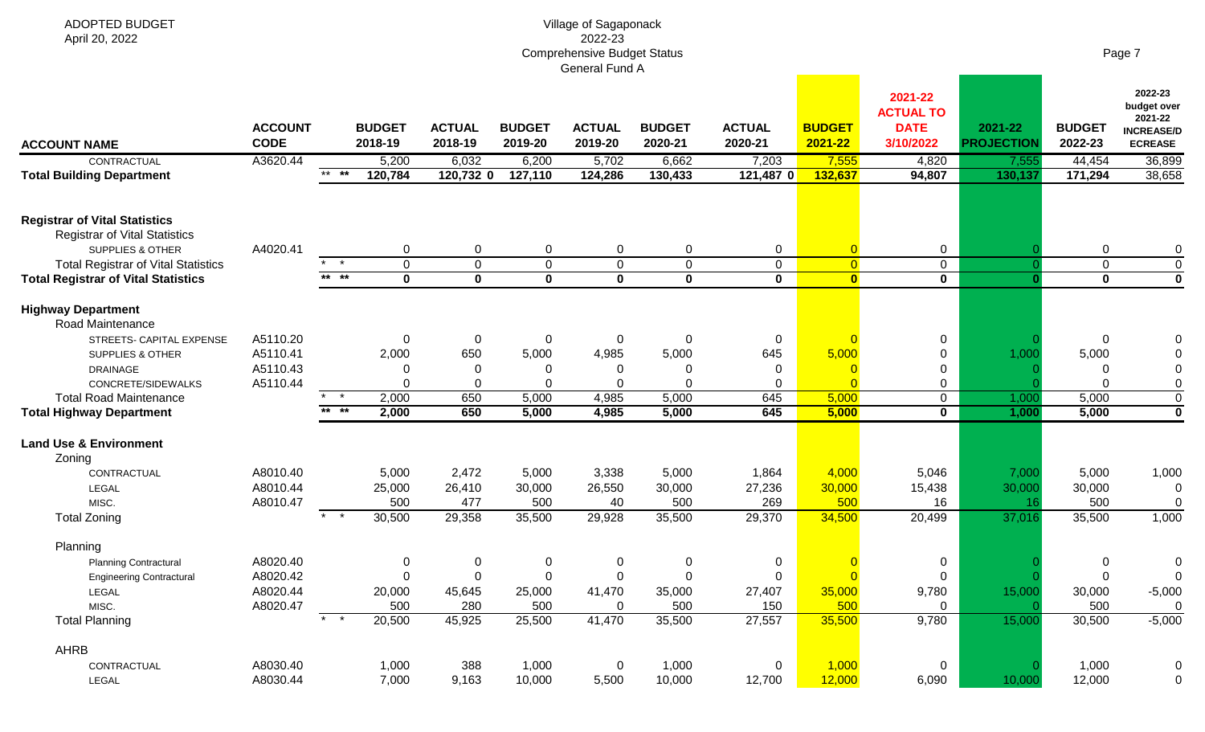| <b>ADOPTED BUDGET</b><br>April 20, 2022                                                                                                                                                                    |                                              |                                     |                                                             |                                             |                                           | Village of Sagaponack<br>2022-23<br><b>Comprehensive Budget Status</b> |                                                         |                                                         |                                                             |                                                                  |                                       |                                           | Page 7                                                                   |
|------------------------------------------------------------------------------------------------------------------------------------------------------------------------------------------------------------|----------------------------------------------|-------------------------------------|-------------------------------------------------------------|---------------------------------------------|-------------------------------------------|------------------------------------------------------------------------|---------------------------------------------------------|---------------------------------------------------------|-------------------------------------------------------------|------------------------------------------------------------------|---------------------------------------|-------------------------------------------|--------------------------------------------------------------------------|
| <b>ACCOUNT NAME</b><br>CONTRACTUAL                                                                                                                                                                         | <b>ACCOUNT</b><br><b>CODE</b><br>A3620.44    |                                     | <b>BUDGET</b><br>2018-19<br>5,200                           | <b>ACTUAL</b><br>2018-19<br>6,032           | <b>BUDGET</b><br>2019-20<br>6,200         | General Fund A<br><b>ACTUAL</b><br>2019-20<br>5,702                    | <b>BUDGET</b><br>2020-21<br>6,662                       | <b>ACTUAL</b><br>2020-21                                | <b>BUDGET</b><br>2021-22<br>7,555                           | 2021-22<br><b>ACTUAL TO</b><br><b>DATE</b><br>3/10/2022<br>4,820 | 2021-22<br><b>PROJECTION</b><br>7,555 | <b>BUDGET</b><br>2022-23<br>44,454        | 2022-23<br>budget over<br>2021-22<br><b>INCREASE/D</b><br><b>ECREASE</b> |
| <b>Total Building Department</b>                                                                                                                                                                           |                                              | $***$ **                            | 120,784                                                     | 120,732 0                                   | 127,110                                   | 124,286                                                                | 130,433                                                 | 7,203<br>121,487 0                                      | 132,637                                                     | 94,807                                                           | 130,137                               | 171,294                                   | 36,899<br>38,658                                                         |
| <b>Registrar of Vital Statistics</b><br><b>Registrar of Vital Statistics</b><br><b>SUPPLIES &amp; OTHER</b><br><b>Total Registrar of Vital Statistics</b><br><b>Total Registrar of Vital Statistics</b>    | A4020.41                                     | $\overline{\phantom{a}}$ *<br>** ** | 0<br>$\mathbf 0$<br>$\mathbf 0$                             | 0<br>$\mathbf 0$<br>$\overline{\mathbf{0}}$ | 0<br>$\mathbf 0$<br>$\mathbf 0$           | 0<br>$\mathbf 0$<br>$\mathbf 0$                                        | 0<br>$\mathbf 0$<br>$\mathbf 0$                         | 0<br>$\mathbf 0$<br>$\mathbf{0}$                        | $\overline{0}$<br>$\overline{0}$<br>$\bullet$               | $\mathbf 0$<br>$\mathbf 0$<br>$\mathbf 0$                        |                                       | 0<br>$\mathbf 0$<br>$\mathbf 0$           | 0<br>$\mathbf 0$<br>$\overline{\mathbf{0}}$                              |
| <b>Highway Department</b><br>Road Maintenance<br>STREETS- CAPITAL EXPENSE<br>SUPPLIES & OTHER<br><b>DRAINAGE</b><br>CONCRETE/SIDEWALKS<br><b>Total Road Maintenance</b><br><b>Total Highway Department</b> | A5110.20<br>A5110.41<br>A5110.43<br>A5110.44 | $\star$ $\star$<br>$***$ **         | $\Omega$<br>2,000<br>$\Omega$<br>$\Omega$<br>2,000<br>2,000 | $\mathbf 0$<br>650<br>0<br>0<br>650<br>650  | 0<br>5,000<br>5,000<br>5,000              | 0<br>4,985<br>0<br>0<br>4,985<br>4,985                                 | $\mathbf 0$<br>5,000<br>0<br>$\Omega$<br>5,000<br>5,000 | $\mathbf 0$<br>645<br>$\overline{0}$<br>0<br>645<br>645 | 5,000<br>$\Omega$<br>5,000<br>5,000                         | 0<br>0<br>0<br>0<br>$\mathbf 0$<br>$\mathbf 0$                   | 1,000<br>1,000<br>1,000               | $\overline{0}$<br>5,000<br>5,000<br>5,000 | 0<br>$\mathbf 0$<br>$\overline{0}$<br>$\overline{\mathbf{0}}$            |
| <b>Land Use &amp; Environment</b><br>Zoning<br>CONTRACTUAL<br>LEGAL<br>MISC.<br><b>Total Zoning</b>                                                                                                        | A8010.40<br>A8010.44<br>A8010.47             | $*$ *                               | 5,000<br>25,000<br>500<br>30,500                            | 2,472<br>26,410<br>477<br>29,358            | 5,000<br>30,000<br>500<br>35,500          | 3,338<br>26,550<br>40<br>29,928                                        | 5,000<br>30,000<br>500<br>35,500                        | 1,864<br>27,236<br>269<br>29,370                        | 4,000<br>30,000<br>500<br>34,500                            | 5,046<br>15,438<br>16<br>20,499                                  | 7,000<br>30,000<br>16<br>37,016       | 5,000<br>30,000<br>500<br>35,500          | 1,000<br>0<br>$\mathbf 0$<br>1,000                                       |
| Planning<br><b>Planning Contractural</b><br><b>Engineering Contractural</b><br>LEGAL<br>MISC.<br><b>Total Planning</b>                                                                                     | A8020.40<br>A8020.42<br>A8020.44<br>A8020.47 | $*$ *                               | $\mathbf 0$<br>$\mathbf 0$<br>20,000<br>500<br>20,500       | $\mathbf 0$<br>0<br>45,645<br>280<br>45,925 | $\pmb{0}$<br>0<br>25,000<br>500<br>25,500 | 0<br>$\mathbf 0$<br>41,470<br>0<br>41,470                              | 0<br>0<br>35,000<br>500<br>35,500                       | $\mathbf 0$<br>$\mathbf 0$<br>27,407<br>150<br>27,557   | $\overline{0}$<br>$\overline{0}$<br>35,000<br>500<br>35,500 | 0<br>$\mathbf 0$<br>9,780<br>$\mathbf 0$<br>9,780                | 15,000<br>15,000                      | 0<br>0<br>30,000<br>500<br>30,500         | 0<br>$\mathbf 0$<br>$-5,000$<br>$\mathbf 0$<br>$-5,000$                  |
| AHRB<br>CONTRACTUAL<br>LEGAL                                                                                                                                                                               | A8030.40<br>A8030.44                         |                                     | 1,000<br>7,000                                              | 388<br>9,163                                | 1,000<br>10,000                           | $\mathbf 0$<br>5,500                                                   | 1,000<br>10,000                                         | $\mathbf 0$<br>12,700                                   | 1,000<br>12,000                                             | $\mathbf 0$<br>6,090                                             | 10,000                                | 1,000<br>12,000                           | $\boldsymbol{0}$<br>$\mathbf 0$                                          |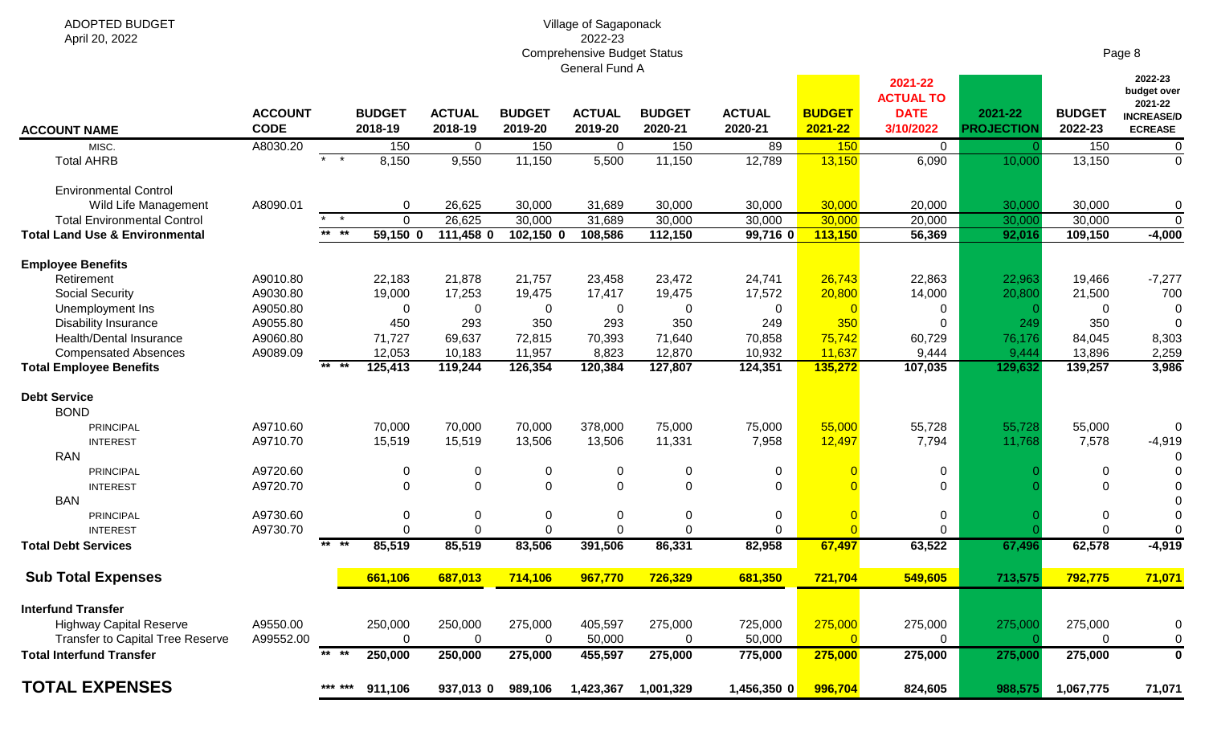#### Village of Sagaponack 2022-23 Comprehensive Budget Status General Fund A

| Page 8 |
|--------|
|--------|

|                                           |                               |          |                          |                          |                          |                          |                          |                          |                          | 2021-22<br><b>ACTUAL TO</b> |                              |                          | 2022-23<br>budget over<br>2021-22   |
|-------------------------------------------|-------------------------------|----------|--------------------------|--------------------------|--------------------------|--------------------------|--------------------------|--------------------------|--------------------------|-----------------------------|------------------------------|--------------------------|-------------------------------------|
| <b>ACCOUNT NAME</b>                       | <b>ACCOUNT</b><br><b>CODE</b> |          | <b>BUDGET</b><br>2018-19 | <b>ACTUAL</b><br>2018-19 | <b>BUDGET</b><br>2019-20 | <b>ACTUAL</b><br>2019-20 | <b>BUDGET</b><br>2020-21 | <b>ACTUAL</b><br>2020-21 | <b>BUDGET</b><br>2021-22 | <b>DATE</b><br>3/10/2022    | 2021-22<br><b>PROJECTION</b> | <b>BUDGET</b><br>2022-23 | <b>INCREASE/D</b><br><b>ECREASE</b> |
| MISC.                                     | A8030.20                      |          | 150                      | $\overline{0}$           | 150                      | $\overline{0}$           | 150                      | 89                       | 150                      | $\overline{0}$              |                              | 150                      | $\overline{0}$                      |
| <b>Total AHRB</b>                         |                               | $*$ *    | 8,150                    | 9,550                    | 11,150                   | 5,500                    | 11,150                   | 12,789                   | 13,150                   | 6,090                       | 10,000                       | 13,150                   | $\Omega$                            |
| <b>Environmental Control</b>              |                               |          |                          |                          |                          |                          |                          |                          |                          |                             |                              |                          |                                     |
| Wild Life Management                      | A8090.01                      |          | $\mathbf 0$              | 26,625                   | 30,000                   | 31,689                   | 30,000                   | 30,000                   | 30,000                   | 20,000                      | 30,000                       | 30,000                   | $\Omega$                            |
| <b>Total Environmental Control</b>        |                               | $\star$  | $\mathbf{0}$             | 26,625                   | 30,000                   | 31,689                   | 30,000                   | 30,000                   | 30,000                   | 20,000                      | 30,00                        | 30,000                   | $\mathbf 0$                         |
| <b>Total Land Use &amp; Environmental</b> |                               | $***$ ** | $59,150$ 0               | 111,458 0                | 102,150 0                | 108,586                  | 112,150                  | 99,716 0                 | 113,150                  | 56,369                      | 92,016                       | 109,150                  | $-4,000$                            |
| <b>Employee Benefits</b>                  |                               |          |                          |                          |                          |                          |                          |                          |                          |                             |                              |                          |                                     |
| Retirement                                | A9010.80                      |          | 22,183                   | 21,878                   | 21,757                   | 23,458                   | 23,472                   | 24,741                   | 26,743                   | 22,863                      | 22,963                       | 19,466                   | $-7,277$                            |
| <b>Social Security</b>                    | A9030.80                      |          | 19,000                   | 17,253                   | 19,475                   | 17,417                   | 19,475                   | 17,572                   | 20,800                   | 14,000                      | 20,800                       | 21,500                   | 700                                 |
| Unemployment Ins                          | A9050.80                      |          | $\mathbf 0$              | $\mathbf 0$              | 0                        | $\mathbf 0$              | $\mathbf 0$              | 0                        | $\overline{0}$           | 0                           |                              | $\Omega$                 |                                     |
| <b>Disability Insurance</b>               | A9055.80                      |          | 450                      | 293                      | 350                      | 293                      | 350                      | 249                      | 350                      | 0                           | 249                          | 350                      |                                     |
| <b>Health/Dental Insurance</b>            | A9060.80                      |          | 71,727                   | 69,637                   | 72,815                   | 70,393                   | 71,640                   | 70,858                   | 75,742                   | 60,729                      | 76,176                       | 84,045                   | 8,303                               |
| <b>Compensated Absences</b>               | A9089.09                      |          | 12,053                   | 10,183                   | 11,957                   | 8,823                    | 12,870                   | 10,932                   | 11,637                   | 9,444                       | 9,444                        | 13,896                   | 2,259                               |
| <b>Total Employee Benefits</b>            |                               | $***$ ** | 125,413                  | 119,244                  | 126,354                  | 120,384                  | 127,807                  | 124,351                  | 135,272                  | 107,035                     | 129,632                      | 139,257                  | 3,986                               |
| <b>Debt Service</b>                       |                               |          |                          |                          |                          |                          |                          |                          |                          |                             |                              |                          |                                     |
| <b>BOND</b>                               |                               |          |                          |                          |                          |                          |                          |                          |                          |                             |                              |                          |                                     |
| PRINCIPAL                                 | A9710.60                      |          | 70,000                   | 70,000                   | 70,000                   | 378,000                  | 75,000                   | 75,000                   | 55,000                   | 55,728                      | 55,728                       | 55,000                   | $\Omega$                            |
| <b>INTEREST</b>                           | A9710.70                      |          | 15,519                   | 15,519                   | 13,506                   | 13,506                   | 11,331                   | 7,958                    | 12,497                   | 7,794                       | 11,768                       | 7,578                    | $-4,919$                            |
| <b>RAN</b>                                |                               |          |                          |                          |                          |                          |                          |                          |                          |                             |                              |                          |                                     |
| <b>PRINCIPAL</b>                          | A9720.60                      |          | $\mathbf 0$              | 0                        | $\mathbf 0$              | $\mathbf 0$              | $\boldsymbol{0}$         | $\mathbf 0$              |                          | 0                           |                              | $\Omega$                 |                                     |
| <b>INTEREST</b>                           | A9720.70                      |          | $\overline{0}$           | 0                        | $\mathbf 0$              | $\mathbf 0$              | $\mathbf 0$              | $\mathbf 0$              |                          | $\Omega$                    |                              | $\Omega$                 |                                     |
| <b>BAN</b>                                |                               |          |                          |                          |                          |                          |                          |                          |                          |                             |                              |                          |                                     |
| <b>PRINCIPAL</b>                          | A9730.60                      |          | $\mathbf 0$              | $\mathbf 0$              | $\mathbf 0$              | $\mathbf 0$              | $\mathbf 0$              | 0                        | $\Omega$                 | 0                           |                              | 0                        |                                     |
| <b>INTEREST</b>                           | A9730.70                      |          | $\mathbf 0$              | $\overline{0}$           | $\mathbf 0$              | $\mathbf 0$              | $\mathbf 0$              | $\Omega$                 | $\Omega$                 | 0                           |                              | $\mathbf 0$              |                                     |
| <b>Total Debt Services</b>                |                               | $***$ ** | 85,519                   | 85,519                   | 83,506                   | 391,506                  | 86,331                   | 82,958                   | 67,497                   | 63,522                      | 67,496                       | 62,578                   | $-4,919$                            |
| <b>Sub Total Expenses</b>                 |                               |          | 661,106                  | 687,013                  | 714,106                  | 967,770                  | 726,329                  | 681,350                  | 721,704                  | 549,605                     | 713,575                      | 792,775                  | 71,071                              |
|                                           |                               |          |                          |                          |                          |                          |                          |                          |                          |                             |                              |                          |                                     |
| <b>Interfund Transfer</b>                 |                               |          |                          |                          |                          |                          |                          |                          |                          |                             |                              |                          |                                     |
| <b>Highway Capital Reserve</b>            | A9550.00                      |          | 250,000                  | 250,000                  | 275,000                  | 405,597                  | 275,000                  | 725,000                  | 275,000                  | 275,000                     | 275,000                      | 275,000                  | $\Omega$                            |
| <b>Transfer to Capital Tree Reserve</b>   | A99552.00                     |          | $\mathbf 0$              | $\mathbf 0$              | 0                        | 50,000                   | $\mathbf 0$              | 50,000                   | $\overline{0}$           | $\mathbf 0$                 |                              | $\Omega$                 | 0                                   |
| <b>Total Interfund Transfer</b>           |                               | $***$ ** | 250,000                  | 250,000                  | 275,000                  | 455,597                  | 275,000                  | 775,000                  | 275,000                  | 275,000                     | 275,000                      | 275,000                  | $\Omega$                            |
| <b>TOTAL EXPENSES</b>                     |                               | *** ***  | 911.106                  | 937,013 0                | 989,106                  | 1,423,367                | 1,001,329                | 1,456,350 0              | 996,704                  | 824,605                     | 988,575                      | 1,067,775                | 71,071                              |